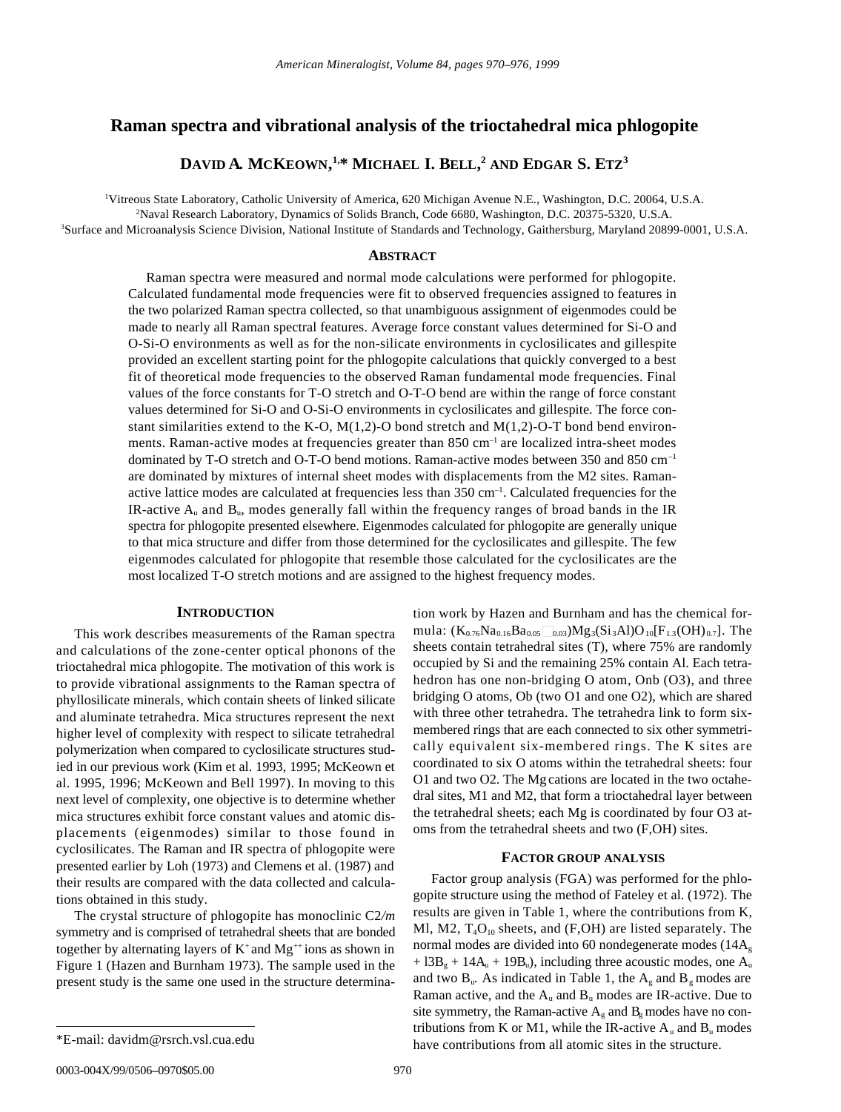# **Raman spectra and vibrational analysis of the trioctahedral mica phlogopite**

# **DAVID A***.* **MCKEOWN, 1,\* MICHAEL I. BELL, <sup>2</sup> AND EDGAR S. ETZ<sup>3</sup>**

<sup>1</sup>Vitreous State Laboratory, Catholic University of America, 620 Michigan Avenue N.E., Washington, D.C. 20064, U.S.A.

<sup>2</sup>Naval Research Laboratory, Dynamics of Solids Branch, Code 6680, Washington, D.C. 20375-5320, U.S.A.

<sup>3</sup>Surface and Microanalysis Science Division, National Institute of Standards and Technology, Gaithersburg, Maryland 20899-0001, U.S.A.

## **ABSTRACT**

Raman spectra were measured and normal mode calculations were performed for phlogopite. Calculated fundamental mode frequencies were fit to observed frequencies assigned to features in the two polarized Raman spectra collected, so that unambiguous assignment of eigenmodes could be made to nearly all Raman spectral features. Average force constant values determined for Si-O and O-Si-O environments as well as for the non-silicate environments in cyclosilicates and gillespite provided an excellent starting point for the phlogopite calculations that quickly converged to a best fit of theoretical mode frequencies to the observed Raman fundamental mode frequencies. Final values of the force constants for T-O stretch and O-T-O bend are within the range of force constant values determined for Si-O and O-Si-O environments in cyclosilicates and gillespite. The force constant similarities extend to the K-O,  $M(1,2)$ -O bond stretch and  $M(1,2)$ -O-T bond bend environments. Raman-active modes at frequencies greater than  $850 \text{ cm}^{-1}$  are localized intra-sheet modes dominated by T-O stretch and O-T-O bend motions. Raman-active modes between 350 and 850 cm–1 are dominated by mixtures of internal sheet modes with displacements from the M2 sites. Ramanactive lattice modes are calculated at frequencies less than  $350 \text{ cm}^{-1}$ . Calculated frequencies for the IR-active  $A_{\rm u}$  and  $B_{\rm u}$ , modes generally fall within the frequency ranges of broad bands in the IR spectra for phlogopite presented elsewhere. Eigenmodes calculated for phlogopite are generally unique to that mica structure and differ from those determined for the cyclosilicates and gillespite. The few eigenmodes calculated for phlogopite that resemble those calculated for the cyclosilicates are the most localized T-O stretch motions and are assigned to the highest frequency modes.

### **INTRODUCTION**

This work describes measurements of the Raman spectra and calculations of the zone-center optical phonons of the trioctahedral mica phlogopite. The motivation of this work is to provide vibrational assignments to the Raman spectra of phyllosilicate minerals, which contain sheets of linked silicate and aluminate tetrahedra. Mica structures represent the next higher level of complexity with respect to silicate tetrahedral polymerization when compared to cyclosilicate structures studied in our previous work (Kim et al. 1993, 1995; McKeown et al. 1995, 1996; McKeown and Bell 1997). In moving to this next level of complexity, one objective is to determine whether mica structures exhibit force constant values and atomic displacements (eigenmodes) similar to those found in cyclosilicates. The Raman and IR spectra of phlogopite were presented earlier by Loh (1973) and Clemens et al. (1987) and their results are compared with the data collected and calculations obtained in this study.

The crystal structure of phlogopite has monoclinic C2*/m* symmetry and is comprised of tetrahedral sheets that are bonded together by alternating layers of  $K^+$  and  $Mg^{++}$  ions as shown in Figure 1 (Hazen and Burnham 1973). The sample used in the present study is the same one used in the structure determination work by Hazen and Burnham and has the chemical formula:  $(K_{0.76}Na_{0.16}Ba_{0.05}\square_{0.03})Mg_3(Si_3Al)O_{10}[F_{1.3}(OH)_{0.7}]$ . The sheets contain tetrahedral sites (T), where 75% are randomly occupied by Si and the remaining 25% contain Al. Each tetrahedron has one non-bridging O atom, Onb (O3), and three bridging O atoms, Ob (two O1 and one O2), which are shared with three other tetrahedra. The tetrahedra link to form sixmembered rings that are each connected to six other symmetrically equivalent six-membered rings. The K sites are coordinated to six O atoms within the tetrahedral sheets: four O1 and two O2. The Mg cations are located in the two octahedral sites, M1 and M2, that form a trioctahedral layer between the tetrahedral sheets; each Mg is coordinated by four O3 atoms from the tetrahedral sheets and two (F,OH) sites.

## **FACTOR GROUP ANALYSIS**

Factor group analysis (FGA) was performed for the phlogopite structure using the method of Fateley et al. (1972). The results are given in Table 1, where the contributions from K, Ml, M2,  $T_4O_{10}$  sheets, and (F,OH) are listed separately. The normal modes are divided into 60 nondegenerate modes  $(14A<sub>g</sub>)$  $+ 13B<sub>g</sub> + 14A<sub>u</sub> + 19B<sub>u</sub>$ , including three acoustic modes, one A<sub>u</sub> and two  $B<sub>u</sub>$ . As indicated in Table 1, the  $A<sub>g</sub>$  and  $B<sub>g</sub>$  modes are Raman active, and the  $A_u$  and  $B_u$  modes are IR-active. Due to site symmetry, the Raman-active  $A_g$  and  $B_g$  modes have no contributions from K or M1, while the IR-active  $A_u$  and  $B_u$  modes have contributions from all atomic sites in the structure. \*E-mail: davidm@rsrch.vsl.cua.edu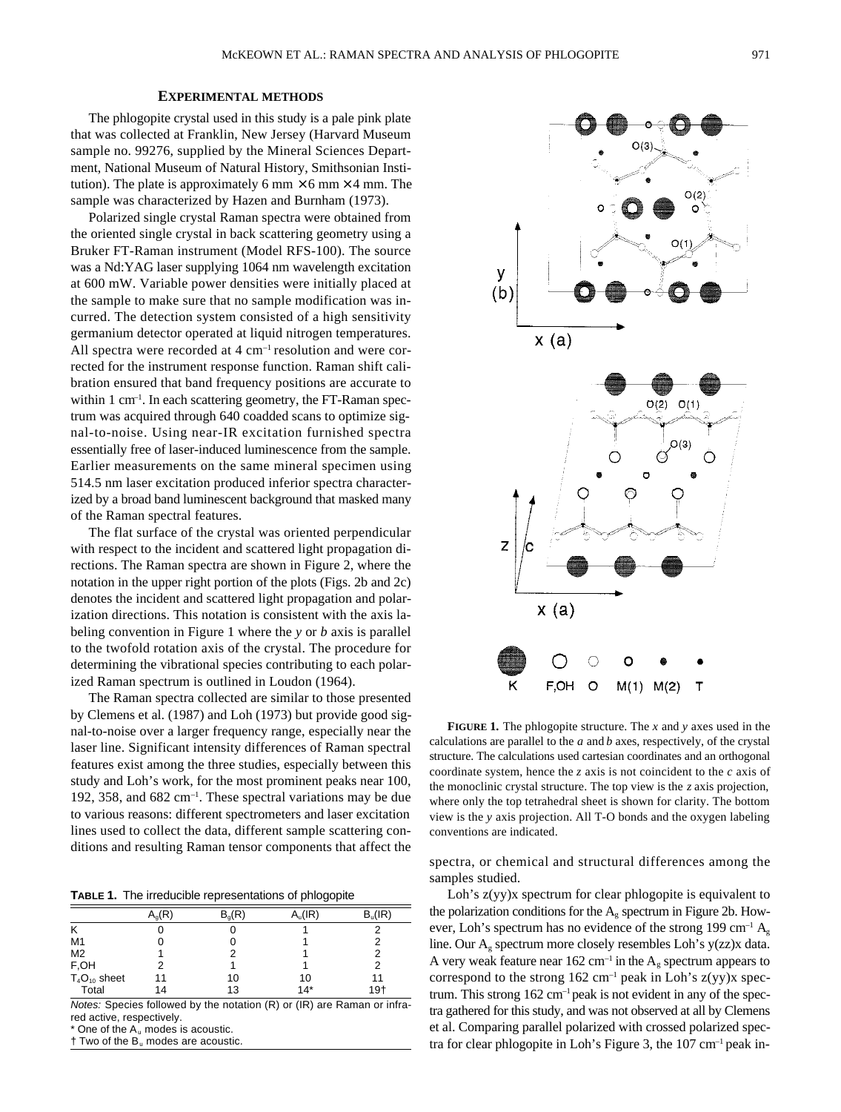#### **EXPERIMENTAL METHODS**

The phlogopite crystal used in this study is a pale pink plate that was collected at Franklin, New Jersey (Harvard Museum sample no. 99276, supplied by the Mineral Sciences Department, National Museum of Natural History, Smithsonian Institution). The plate is approximately 6 mm  $\times$  6 mm  $\times$  4 mm. The sample was characterized by Hazen and Burnham (1973).

Polarized single crystal Raman spectra were obtained from the oriented single crystal in back scattering geometry using a Bruker FT-Raman instrument (Model RFS-100). The source was a Nd:YAG laser supplying 1064 nm wavelength excitation at 600 mW. Variable power densities were initially placed at the sample to make sure that no sample modification was incurred. The detection system consisted of a high sensitivity germanium detector operated at liquid nitrogen temperatures. All spectra were recorded at 4 cm<sup>-1</sup> resolution and were corrected for the instrument response function. Raman shift calibration ensured that band frequency positions are accurate to within  $1 \text{ cm}^{-1}$ . In each scattering geometry, the FT-Raman spectrum was acquired through 640 coadded scans to optimize signal-to-noise. Using near-IR excitation furnished spectra essentially free of laser-induced luminescence from the sample. Earlier measurements on the same mineral specimen using 514.5 nm laser excitation produced inferior spectra characterized by a broad band luminescent background that masked many of the Raman spectral features.

The flat surface of the crystal was oriented perpendicular with respect to the incident and scattered light propagation directions. The Raman spectra are shown in Figure 2, where the notation in the upper right portion of the plots (Figs. 2b and 2c) denotes the incident and scattered light propagation and polarization directions. This notation is consistent with the axis labeling convention in Figure 1 where the *y* or *b* axis is parallel to the twofold rotation axis of the crystal. The procedure for determining the vibrational species contributing to each polarized Raman spectrum is outlined in Loudon (1964).

The Raman spectra collected are similar to those presented by Clemens et al. (1987) and Loh (1973) but provide good signal-to-noise over a larger frequency range, especially near the laser line. Significant intensity differences of Raman spectral features exist among the three studies, especially between this study and Loh's work, for the most prominent peaks near 100, 192, 358, and 682 cm–1. These spectral variations may be due to various reasons: different spectrometers and laser excitation lines used to collect the data, different sample scattering conditions and resulting Raman tensor components that affect the

**TABLE 1.** The irreducible representations of phlogopite

|                   | $A_q(R)$ | $B_q(R)$ | $A_u$ (IR) | B <sub>u</sub> (IR) |
|-------------------|----------|----------|------------|---------------------|
| ĸ                 | O        | U        |            |                     |
| M1                | O        | O        |            | 2                   |
| M <sub>2</sub>    |          |          |            | 2                   |
| F,OH              |          |          |            | 2                   |
| $T_4O_{10}$ sheet | 11       | 10       | 10         | 11                  |
| Total             | 14       | 13       | $14*$      | $19+$               |

Notes: Species followed by the notation (R) or (IR) are Raman or infrared active, respectively.

One of the  $A_u$  modes is acoustic.

† Two of the Bu modes are acoustic.



**FIGURE 1.** The phlogopite structure. The *x* and *y* axes used in the calculations are parallel to the *a* and *b* axes, respectively, of the crystal structure. The calculations used cartesian coordinates and an orthogonal coordinate system, hence the *z* axis is not coincident to the *c* axis of the monoclinic crystal structure. The top view is the *z* axis projection, where only the top tetrahedral sheet is shown for clarity. The bottom view is the *y* axis projection. All T-O bonds and the oxygen labeling conventions are indicated.

spectra, or chemical and structural differences among the samples studied.

Loh's z(yy)x spectrum for clear phlogopite is equivalent to the polarization conditions for the  $A_e$  spectrum in Figure 2b. However, Loh's spectrum has no evidence of the strong 199 cm<sup>-1</sup>  $A_g$ line. Our  $A_{\varphi}$  spectrum more closely resembles Loh's y(zz)x data. A very weak feature near 162 cm<sup>-1</sup> in the  $A_{\epsilon}$  spectrum appears to correspond to the strong  $162 \text{ cm}^{-1}$  peak in Loh's  $z(yy)x$  spectrum. This strong 162 cm<sup>-1</sup> peak is not evident in any of the spectra gathered for this study, and was not observed at all by Clemens et al. Comparing parallel polarized with crossed polarized spectra for clear phlogopite in Loh's Figure 3, the  $107 \text{ cm}^{-1}$  peak in-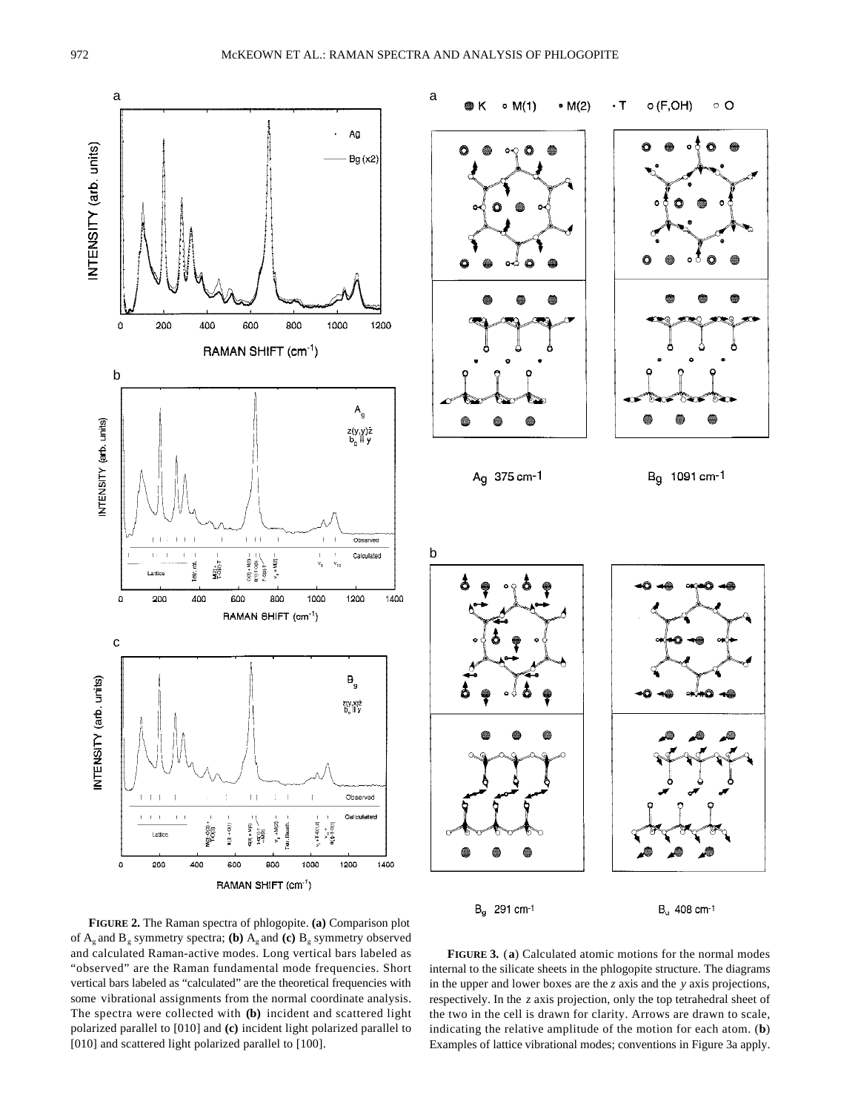



**FIGURE 2.** The Raman spectra of phlogopite. **(a)** Comparison plot of  $A_g$  and  $B_g$  symmetry spectra; **(b)**  $A_g$  and **(c)**  $B_g$  symmetry observed and calculated Raman-active modes. Long vertical bars labeled as "observed" are the Raman fundamental mode frequencies. Short vertical bars labeled as "calculated" are the theoretical frequencies with some vibrational assignments from the normal coordinate analysis. The spectra were collected with **(b)** incident and scattered light polarized parallel to [010] and **(c)** incident light polarized parallel to [010] and scattered light polarized parallel to [100].

**FIGURE 3.** (**a**) Calculated atomic motions for the normal modes internal to the silicate sheets in the phlogopite structure. The diagrams in the upper and lower boxes are the *z* axis and the *y* axis projections, respectively. In the *z* axis projection, only the top tetrahedral sheet of the two in the cell is drawn for clarity. Arrows are drawn to scale, indicating the relative amplitude of the motion for each atom. (**b**) Examples of lattice vibrational modes; conventions in Figure 3a apply.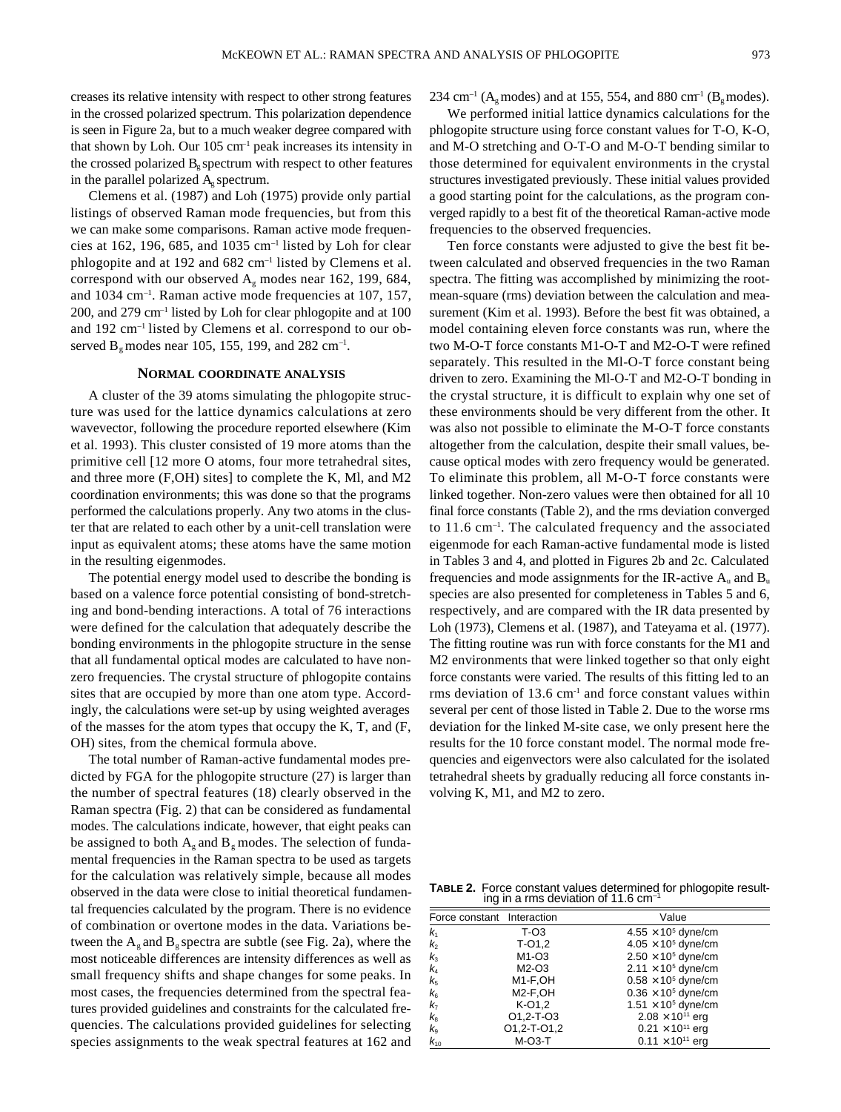creases its relative intensity with respect to other strong features in the crossed polarized spectrum. This polarization dependence is seen in Figure 2a, but to a much weaker degree compared with that shown by Loh. Our  $105 \text{ cm}^{-1}$  peak increases its intensity in the crossed polarized  $B<sub>e</sub>$  spectrum with respect to other features in the parallel polarized  $A<sub>e</sub>$  spectrum.

Clemens et al. (1987) and Loh (1975) provide only partial listings of observed Raman mode frequencies, but from this we can make some comparisons. Raman active mode frequencies at 162, 196, 685, and 1035  $cm^{-1}$  listed by Loh for clear phlogopite and at 192 and 682 cm–1 listed by Clemens et al. correspond with our observed  $A_g$  modes near 162, 199, 684, and 1034 cm–1. Raman active mode frequencies at 107, 157, 200, and 279 cm–1 listed by Loh for clear phlogopite and at 100 and 192 cm–1 listed by Clemens et al. correspond to our observed  $B_g$  modes near 105, 155, 199, and 282 cm<sup>-1</sup>.

### **NORMAL COORDINATE ANALYSIS**

A cluster of the 39 atoms simulating the phlogopite structure was used for the lattice dynamics calculations at zero wavevector, following the procedure reported elsewhere (Kim et al. 1993). This cluster consisted of 19 more atoms than the primitive cell [12 more O atoms, four more tetrahedral sites, and three more (F,OH) sites] to complete the K, Ml, and M2 coordination environments; this was done so that the programs performed the calculations properly. Any two atoms in the cluster that are related to each other by a unit-cell translation were input as equivalent atoms; these atoms have the same motion in the resulting eigenmodes.

The potential energy model used to describe the bonding is based on a valence force potential consisting of bond-stretching and bond-bending interactions. A total of 76 interactions were defined for the calculation that adequately describe the bonding environments in the phlogopite structure in the sense that all fundamental optical modes are calculated to have nonzero frequencies. The crystal structure of phlogopite contains sites that are occupied by more than one atom type. Accordingly, the calculations were set-up by using weighted averages of the masses for the atom types that occupy the K, T, and (F, OH) sites, from the chemical formula above.

The total number of Raman-active fundamental modes predicted by FGA for the phlogopite structure (27) is larger than the number of spectral features (18) clearly observed in the Raman spectra (Fig. 2) that can be considered as fundamental modes. The calculations indicate, however, that eight peaks can be assigned to both  $A_{\varphi}$  and  $B_{\varphi}$  modes. The selection of fundamental frequencies in the Raman spectra to be used as targets for the calculation was relatively simple, because all modes observed in the data were close to initial theoretical fundamental frequencies calculated by the program. There is no evidence of combination or overtone modes in the data. Variations between the  $A_g$  and  $B_g$  spectra are subtle (see Fig. 2a), where the most noticeable differences are intensity differences as well as small frequency shifts and shape changes for some peaks. In most cases, the frequencies determined from the spectral features provided guidelines and constraints for the calculated frequencies. The calculations provided guidelines for selecting species assignments to the weak spectral features at 162 and 234 cm<sup>-1</sup> (A<sub>o</sub> modes) and at 155, 554, and 880 cm<sup>-1</sup> (B<sub>o</sub> modes).

We performed initial lattice dynamics calculations for the phlogopite structure using force constant values for T-O, K-O, and M-O stretching and O-T-O and M-O-T bending similar to those determined for equivalent environments in the crystal structures investigated previously. These initial values provided a good starting point for the calculations, as the program converged rapidly to a best fit of the theoretical Raman-active mode frequencies to the observed frequencies.

Ten force constants were adjusted to give the best fit between calculated and observed frequencies in the two Raman spectra. The fitting was accomplished by minimizing the rootmean-square (rms) deviation between the calculation and measurement (Kim et al. 1993). Before the best fit was obtained, a model containing eleven force constants was run, where the two M-O-T force constants M1-O-T and M2-O-T were refined separately. This resulted in the Ml-O-T force constant being driven to zero. Examining the Ml-O-T and M2-O-T bonding in the crystal structure, it is difficult to explain why one set of these environments should be very different from the other. It was also not possible to eliminate the M-O-T force constants altogether from the calculation, despite their small values, because optical modes with zero frequency would be generated. To eliminate this problem, all M-O-T force constants were linked together. Non-zero values were then obtained for all 10 final force constants (Table 2), and the rms deviation converged to 11.6 cm–1. The calculated frequency and the associated eigenmode for each Raman-active fundamental mode is listed in Tables 3 and 4, and plotted in Figures 2b and 2c. Calculated frequencies and mode assignments for the IR-active  $A_u$  and  $B_u$ species are also presented for completeness in Tables 5 and 6, respectively, and are compared with the IR data presented by Loh (1973), Clemens et al. (1987), and Tateyama et al. (1977). The fitting routine was run with force constants for the M1 and M2 environments that were linked together so that only eight force constants were varied. The results of this fitting led to an rms deviation of 13.6 cm<sup>-1</sup> and force constant values within several per cent of those listed in Table 2. Due to the worse rms deviation for the linked M-site case, we only present here the results for the 10 force constant model. The normal mode frequencies and eigenvectors were also calculated for the isolated tetrahedral sheets by gradually reducing all force constants involving K, M1, and M2 to zero.

**TABLE 2.** Force constant values determined for phlogopite resulting in a rms deviation of 11.6  $cm<sup>-1</sup>$ 

| Force constant Interaction |                                       | Value                                 |
|----------------------------|---------------------------------------|---------------------------------------|
| k,                         | $T-O3$                                | $4.55 \times 10^5$ dyne/cm            |
| k <sub>2</sub>             | $T-01,2$                              | $4.05 \times 10^5$ dyne/cm            |
| $k_3$                      | M1-O3                                 | $2.50 \times 10^5$ dyne/cm            |
| k4                         | $M2-O3$                               | $2.11 \times 10^5$ dyne/cm            |
| $k_{5}$<br>$k_{6}$         | M <sub>1-F</sub> ,OH                  | $0.58 \times 10^5$ dyne/cm            |
|                            | M <sub>2</sub> -F <sub>,OH</sub>      | $0.36 \times 10^5$ dyne/cm            |
| k <sub>7</sub>             | K-01,2                                | 1.51 $\times$ 10 <sup>5</sup> dyne/cm |
| $k_{\scriptscriptstyle 8}$ | O <sub>1</sub> , 2-T-O <sub>3</sub>   | $2.08 \times 10^{11}$ erg             |
| $k_{9}$                    | O <sub>1</sub> ,2-T-O <sub>1</sub> ,2 | $0.21 \times 10^{11}$ erg             |
| $k_{10}$                   | $M-O3-T$                              | $0.11 \times 10^{11}$ erg             |
|                            |                                       |                                       |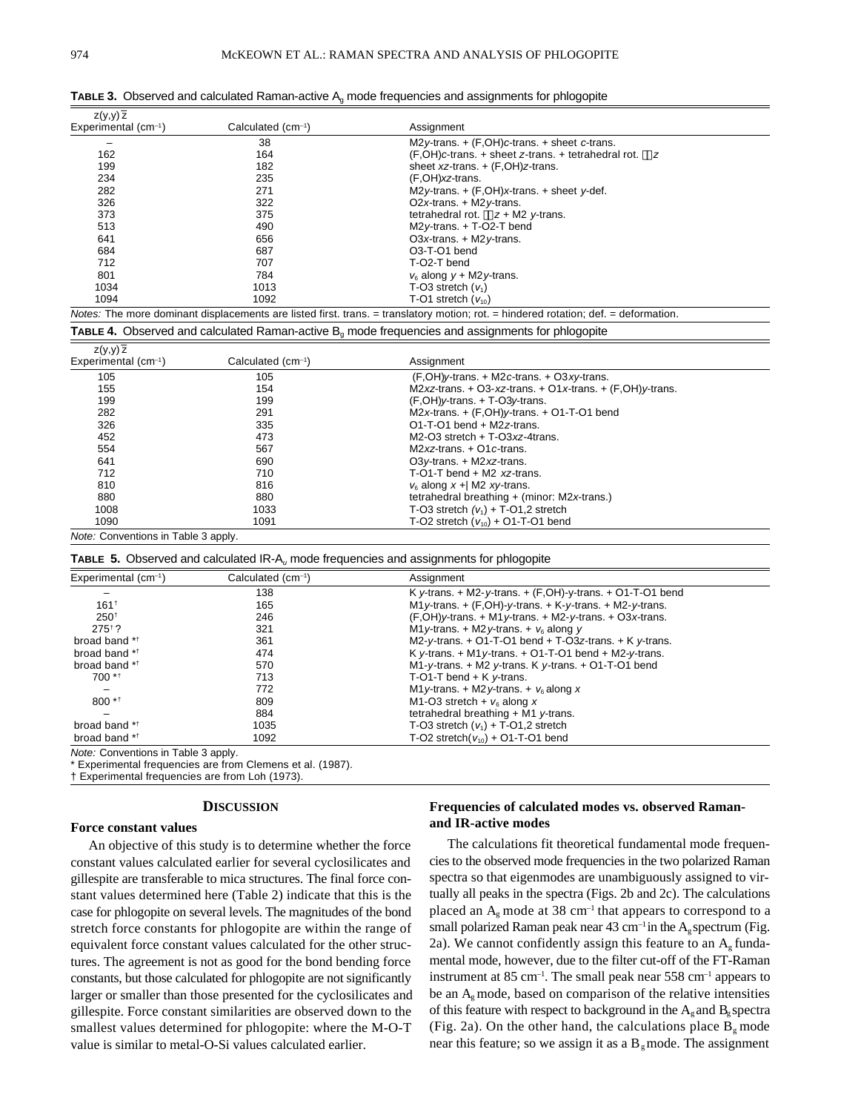| $Z(y,y)$ $\overline{z}$ |                                |                                                                                                                                     |
|-------------------------|--------------------------------|-------------------------------------------------------------------------------------------------------------------------------------|
| Experimental $(cm-1)$   | Calculated (cm <sup>-1</sup> ) | Assignment                                                                                                                          |
|                         | 38                             | $M2y$ -trans. + $(F.OH)c$ -trans. + sheet c-trans.                                                                                  |
| 162                     | 164                            | $(F, OH)c$ -trans. + sheet z-trans. + tetrahedral rot. z                                                                            |
| 199                     | 182                            | sheet $xz$ -trans. $+(F,OH)z$ -trans.                                                                                               |
| 234                     | 235                            | (F,OH)xz-trans.                                                                                                                     |
| 282                     | 271                            | M2y-trans. $+$ (F,OH)x-trans. $+$ sheet y-def.                                                                                      |
| 326                     | 322                            | O2x-trans. $+$ M2y-trans.                                                                                                           |
| 373                     | 375                            | tetrahedral rot. $z + M2$ y-trans.                                                                                                  |
| 513                     | 490                            | $M2y$ -trans. $+T$ -O2-T bend                                                                                                       |
| 641                     | 656                            | O3x-trans. $+$ M2y-trans.                                                                                                           |
| 684                     | 687                            | O <sub>3</sub> -T-O <sub>1</sub> bend                                                                                               |
| 712                     | 707                            | T-O2-T bend                                                                                                                         |
| 801                     | 784                            | $v_{\rm s}$ along $v + M2v$ -trans.                                                                                                 |
| 1034                    | 1013                           | T-O3 stretch $(v_1)$                                                                                                                |
| 1094                    | 1092                           | T-O1 stretch $(v_{10})$                                                                                                             |
|                         |                                | Notes: The more dominant displacements are listed first. trans. = translatory motion; rot. = hindered rotation; def. = deformation. |

**TABLE 3.** Observed and calculated Raman-active A<sub>g</sub> mode frequencies and assignments for phlogopite

**TABLE 4.** Observed and calculated Raman-active B<sub>q</sub> mode frequencies and assignments for phlogopite

| $z(y,y)$ $\overline{z}$             |                   |                                                              |
|-------------------------------------|-------------------|--------------------------------------------------------------|
| Experimental $(cm-1)$               | Calculated (cm-1) | Assignment                                                   |
| 105                                 | 105               | $(F.OH)y$ -trans. + M2c-trans. + O3xy-trans.                 |
| 155                                 | 154               | M2xz-trans. + O3-xz-trans. + O1x-trans. + $(F, OH)$ y-trans. |
| 199                                 | 199               | $(F.OH)y$ -trans. $+T-O3y$ -trans.                           |
| 282                                 | 291               | $M2x$ -trans. + $(F.OH)y$ -trans. + O1-T-O1 bend             |
| 326                                 | 335               | $O1-T-O1$ bend + M2z-trans.                                  |
| 452                                 | 473               | $M2-O3$ stretch + T- $O3xz$ -4trans.                         |
| 554                                 | 567               | $M2xz$ -trans. + O1 c-trans.                                 |
| 641                                 | 690               | O3y-trans. $+$ M2xz-trans.                                   |
| 712                                 | 710               | $T$ -O1-T bend + M2 xz-trans.                                |
| 810                                 | 816               | $v_{\rm s}$ along x + M2 xy-trans.                           |
| 880                                 | 880               | tetrahedral breathing + (minor: M2x-trans.)                  |
| 1008                                | 1033              | T-O3 stretch $(v_1)$ + T-O1,2 stretch                        |
| 1090                                | 1091              | T-O2 stretch $(v_{10}) + O1$ -T-O1 bend                      |
| Note: Conventions in Table 3 apply. |                   |                                                              |

**TABLE 5.** Observed and calculated IR-A<sub>u</sub> mode frequencies and assignments for phlogopite

| Experimental $(cm^{-1})$ | Calculated (cm-1) | Assignment                                                      |
|--------------------------|-------------------|-----------------------------------------------------------------|
|                          | 138               | K y-trans. $+$ M2-y-trans. $+$ (F,OH)-y-trans. $+$ O1-T-O1 bend |
| 161 <sup>†</sup>         | 165               | M1 y-trans. $+$ (F,OH)-y-trans. $+$ K-y-trans. $+$ M2-y-trans.  |
| $250^{+}$                | 246               | $(F, OH)$ y-trans. + M1 y-trans. + M2-y-trans. + O3x-trans.     |
| $275^{\dagger}$ ?        | 321               | M1 y-trans. + M2 y-trans. + $v_6$ along y                       |
| broad band **            | 361               | M2-y-trans. $+$ O1-T-O1 bend $+$ T-O3z-trans. $+$ K y-trans.    |
| broad band **            | 474               | K y-trans. $+$ M1 y-trans. $+$ O1-T-O1 bend $+$ M2-y-trans.     |
| broad band **            | 570               | M1-y-trans. $+$ M2 y-trans. K y-trans. $+$ O1-T-O1 bend         |
| $700 *1$                 | 713               | T-O1-T bend $+$ K $v$ -trans.                                   |
|                          | 772               | M1 y-trans. + M2 y-trans. + $v_6$ along x                       |
| $800**$                  | 809               | M1-O3 stretch + $v_6$ along x                                   |
|                          | 884               | tetrahedral breathing $+$ M1 y-trans.                           |
| broad band **            | 1035              | T-O3 stretch $(v_1)$ + T-O1,2 stretch                           |
| broad band **            | 1092              | T-O2 stretch( $v_{10}$ ) + O1-T-O1 bend                         |

Note: Conventions in Table 3 apply.

\* Experimental frequencies are from Clemens et al. (1987).

† Experimental frequencies are from Loh (1973).

### **DISCUSSION**

#### **Force constant values**

An objective of this study is to determine whether the force constant values calculated earlier for several cyclosilicates and gillespite are transferable to mica structures. The final force constant values determined here (Table 2) indicate that this is the case for phlogopite on several levels. The magnitudes of the bond stretch force constants for phlogopite are within the range of equivalent force constant values calculated for the other structures. The agreement is not as good for the bond bending force constants, but those calculated for phlogopite are not significantly larger or smaller than those presented for the cyclosilicates and gillespite. Force constant similarities are observed down to the smallest values determined for phlogopite: where the M-O-T value is similar to metal-O-Si values calculated earlier.

### **Frequencies of calculated modes vs. observed Ramanand IR-active modes**

The calculations fit theoretical fundamental mode frequencies to the observed mode frequencies in the two polarized Raman spectra so that eigenmodes are unambiguously assigned to virtually all peaks in the spectra (Figs. 2b and 2c). The calculations placed an  $A<sub>e</sub>$  mode at 38 cm<sup>-1</sup> that appears to correspond to a small polarized Raman peak near 43 cm<sup>-1</sup> in the  $A<sub>e</sub>$  spectrum (Fig. 2a). We cannot confidently assign this feature to an  $A_g$  fundamental mode, however, due to the filter cut-off of the FT-Raman instrument at  $85 \text{ cm}^{-1}$ . The small peak near  $558 \text{ cm}^{-1}$  appears to be an A<sub>g</sub> mode, based on comparison of the relative intensities of this feature with respect to background in the  $A_{g}$  and  $B_{g}$  spectra (Fig. 2a). On the other hand, the calculations place  $B_{g}$  mode near this feature; so we assign it as a  $B_{g}$  mode. The assignment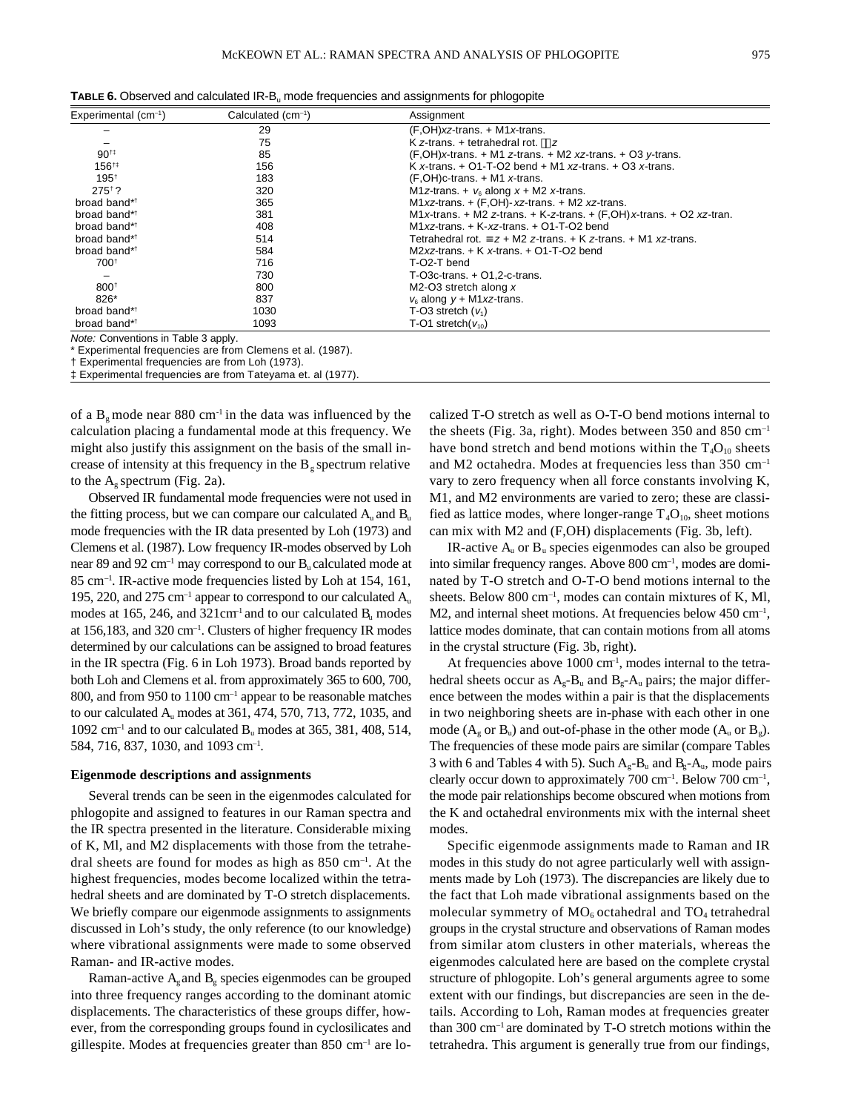| Experimental $(cm-1)$               | Calculated (cm-1)    | Assignment                                                             |
|-------------------------------------|----------------------|------------------------------------------------------------------------|
|                                     | 29                   | $(F.OH)xz$ -trans. + M1x-trans.                                        |
|                                     | 75                   | K z-trans. $+$ tetrahedral rot. $z$                                    |
| $90^{+1}$                           | 85                   | $(F, OH)x$ -trans. + M1 z-trans. + M2 xz-trans. + O3 y-trans.          |
| 156#                                | 156                  | K x-trans. $+$ O1-T-O2 bend $+$ M1 xz-trans. $+$ O3 x-trans.           |
| $195^{+}$                           | 183                  | $(F.OH)$ c-trans. + M1 x-trans.                                        |
| $275^{\dagger}$ ?                   | 320                  | M1z-trans. + $v_6$ along $x + M2$ x-trans.                             |
| broad band* <sup>+</sup>            | 365                  | $M1xz$ -trans. $+$ (F,OH)- xz-trans. $+$ M2 xz-trans.                  |
| broad band* <sup>+</sup>            | 381                  | M1 x-trans. + M2 z-trans. + K-z-trans. + (F,OH) x-trans. + O2 xz-tran. |
| broad band* <sup>+</sup>            | 408                  | M1 xz-trans. $+$ K-xz-trans. $+$ O1-T-O2 bend                          |
| broad band* <sup>†</sup>            | 514                  | Tetrahedral rot. $z + M2$ z-trans. $+ K$ z-trans. $+ M1$ xz-trans.     |
| broad band* <sup>†</sup>            | 584                  | $M2xz$ -trans. $+$ K x-trans. $+$ O1-T-O2 bend                         |
| 700 <sup>+</sup>                    | 716                  | T-O2-T bend                                                            |
|                                     | 730                  | $T-O3c$ -trans. $+ O1, 2-c$ -trans.                                    |
| 800 <sup>†</sup>                    | 800                  | M2-O3 stretch along $x$                                                |
| 826*                                | 837                  | $v_{\rm s}$ along $v + M1xz$ -trans.                                   |
| broad band* <sup>†</sup>            | 1030                 | T-O3 stretch $(v_1)$                                                   |
| broad band* <sup>+</sup>            | 1093                 | T-O1 stretch( $v_{10}$ )                                               |
| Note: Conventions in Table 3 apply. | $\sim$ $\sim$ $\sim$ |                                                                        |

**TABLE 6.** Observed and calculated IR-B<sup>u</sup> mode frequencies and assignments for phlogopite

Experimental frequencies are from Clemens et al. (1987).

† Experimental frequencies are from Loh (1973).

‡ Experimental frequencies are from Tateyama et. al (1977).

of a  $B<sub>g</sub>$  mode near 880 cm<sup>-1</sup> in the data was influenced by the calculation placing a fundamental mode at this frequency. We might also justify this assignment on the basis of the small increase of intensity at this frequency in the  $B<sub>g</sub>$  spectrum relative to the  $A<sub>e</sub>$  spectrum (Fig. 2a).

Observed IR fundamental mode frequencies were not used in the fitting process, but we can compare our calculated  $A_u$  and  $B_u$ mode frequencies with the IR data presented by Loh (1973) and Clemens et al. (1987). Low frequency IR-modes observed by Loh near 89 and 92 cm<sup>-1</sup> may correspond to our  $B_u$  calculated mode at 85 cm–1. IR-active mode frequencies listed by Loh at 154, 161, 195, 220, and 275  $cm^{-1}$  appear to correspond to our calculated  $A_u$ modes at 165, 246, and  $321 \text{cm}^{-1}$  and to our calculated  $B<sub>u</sub>$  modes at 156,183, and 320 cm–1. Clusters of higher frequency IR modes determined by our calculations can be assigned to broad features in the IR spectra (Fig. 6 in Loh 1973). Broad bands reported by both Loh and Clemens et al. from approximately 365 to 600, 700, 800, and from 950 to 1100 cm<sup>-1</sup> appear to be reasonable matches to our calculated Au modes at 361, 474, 570, 713, 772, 1035, and  $1092 \text{ cm}^{-1}$  and to our calculated B<sub>u</sub> modes at 365, 381, 408, 514, 584, 716, 837, 1030, and 1093 cm<sup>-1</sup>.

#### **Eigenmode descriptions and assignments**

Several trends can be seen in the eigenmodes calculated for phlogopite and assigned to features in our Raman spectra and the IR spectra presented in the literature. Considerable mixing of K, Ml, and M2 displacements with those from the tetrahedral sheets are found for modes as high as 850 cm–1. At the highest frequencies, modes become localized within the tetrahedral sheets and are dominated by T-O stretch displacements. We briefly compare our eigenmode assignments to assignments discussed in Loh's study, the only reference (to our knowledge) where vibrational assignments were made to some observed Raman- and IR-active modes.

Raman-active  $A_{g}$  and  $B_{g}$  species eigenmodes can be grouped into three frequency ranges according to the dominant atomic displacements. The characteristics of these groups differ, however, from the corresponding groups found in cyclosilicates and gillespite. Modes at frequencies greater than  $850 \text{ cm}^{-1}$  are localized T-O stretch as well as O-T-O bend motions internal to the sheets (Fig. 3a, right). Modes between 350 and 850 cm–1 have bond stretch and bend motions within the  $T_4O_{10}$  sheets and M2 octahedra. Modes at frequencies less than 350 cm–1 vary to zero frequency when all force constants involving K, M1, and M2 environments are varied to zero; these are classified as lattice modes, where longer-range  $T_4O_{10}$ , sheet motions can mix with M2 and (F,OH) displacements (Fig. 3b, left).

IR-active  $A_u$  or  $B_u$  species eigenmodes can also be grouped into similar frequency ranges. Above 800 cm–1, modes are dominated by T-O stretch and O-T-O bend motions internal to the sheets. Below 800 cm<sup>-1</sup>, modes can contain mixtures of K, Ml,  $M2$ , and internal sheet motions. At frequencies below  $450 \text{ cm}^{-1}$ , lattice modes dominate, that can contain motions from all atoms in the crystal structure (Fig. 3b, right).

At frequencies above  $1000 \text{ cm}^{-1}$ , modes internal to the tetrahedral sheets occur as  $A_g - B_u$  and  $B_g - A_u$  pairs; the major difference between the modes within a pair is that the displacements in two neighboring sheets are in-phase with each other in one mode  $(A_\rho$  or  $B_\nu$ ) and out-of-phase in the other mode  $(A_\nu$  or  $B_\rho$ ). The frequencies of these mode pairs are similar (compare Tables 3 with 6 and Tables 4 with 5). Such  $A_g - B_u$  and  $B_g - A_u$ , mode pairs clearly occur down to approximately 700 cm–1. Below 700 cm–1 , the mode pair relationships become obscured when motions from the K and octahedral environments mix with the internal sheet modes.

Specific eigenmode assignments made to Raman and IR modes in this study do not agree particularly well with assignments made by Loh (1973). The discrepancies are likely due to the fact that Loh made vibrational assignments based on the molecular symmetry of  $MO_6$  octahedral and  $TO_4$  tetrahedral groups in the crystal structure and observations of Raman modes from similar atom clusters in other materials, whereas the eigenmodes calculated here are based on the complete crystal structure of phlogopite. Loh's general arguments agree to some extent with our findings, but discrepancies are seen in the details. According to Loh, Raman modes at frequencies greater than  $300 \text{ cm}^{-1}$  are dominated by T-O stretch motions within the tetrahedra. This argument is generally true from our findings,